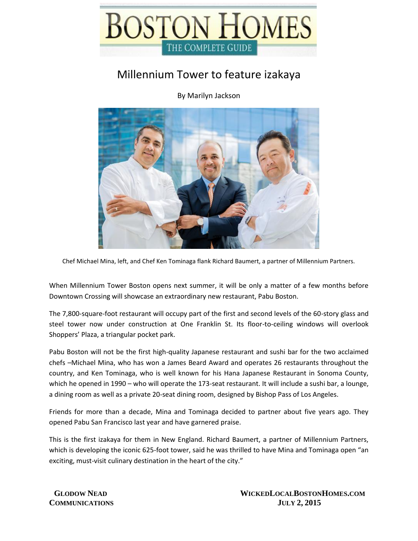

## Millennium Tower to feature izakaya

By Marilyn Jackson



Chef Michael Mina, left, and Chef Ken Tominaga flank Richard Baumert, a partner of Millennium Partners.

When Millennium Tower Boston opens next summer, it will be only a matter of a few months before Downtown Crossing will showcase an extraordinary new restaurant, Pabu Boston.

The 7,800-square-foot restaurant will occupy part of the first and second levels of the 60-story glass and steel tower now under construction at One Franklin St. Its floor-to-ceiling windows will overlook Shoppers' Plaza, a triangular pocket park.

Pabu Boston will not be the first high-quality Japanese restaurant and sushi bar for the two acclaimed chefs –Michael Mina, who has won a James Beard Award and operates 26 restaurants throughout the country, and Ken Tominaga, who is well known for his Hana Japanese Restaurant in Sonoma County, which he opened in 1990 – who will operate the 173-seat restaurant. It will include a sushi bar, a lounge, a dining room as well as a private 20-seat dining room, designed by Bishop Pass of Los Angeles.

Friends for more than a decade, Mina and Tominaga decided to partner about five years ago. They opened Pabu San Francisco last year and have garnered praise.

This is the first izakaya for them in New England. Richard Baumert, a partner of Millennium Partners, which is developing the iconic 625-foot tower, said he was thrilled to have Mina and Tominaga open "an exciting, must-visit culinary destination in the heart of the city."

 **GLODOW NEAD WICKEDLOCALBOSTONHOMES.COM COMMUNICATIONS JULY 2, 2015**